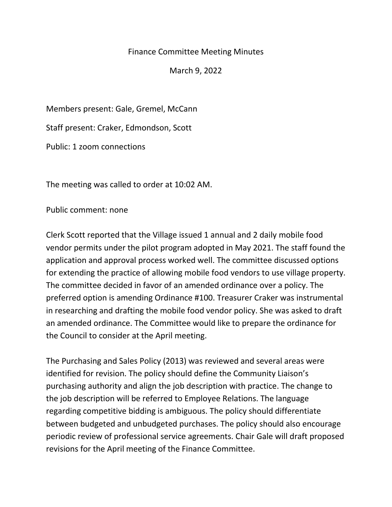## Finance Committee Meeting Minutes

March 9, 2022

Members present: Gale, Gremel, McCann

Staff present: Craker, Edmondson, Scott

Public: 1 zoom connections

The meeting was called to order at 10:02 AM.

Public comment: none

Clerk Scott reported that the Village issued 1 annual and 2 daily mobile food vendor permits under the pilot program adopted in May 2021. The staff found the application and approval process worked well. The committee discussed options for extending the practice of allowing mobile food vendors to use village property. The committee decided in favor of an amended ordinance over a policy. The preferred option is amending Ordinance #100. Treasurer Craker was instrumental in researching and drafting the mobile food vendor policy. She was asked to draft an amended ordinance. The Committee would like to prepare the ordinance for the Council to consider at the April meeting.

The Purchasing and Sales Policy (2013) was reviewed and several areas were identified for revision. The policy should define the Community Liaison's purchasing authority and align the job description with practice. The change to the job description will be referred to Employee Relations. The language regarding competitive bidding is ambiguous. The policy should differentiate between budgeted and unbudgeted purchases. The policy should also encourage periodic review of professional service agreements. Chair Gale will draft proposed revisions for the April meeting of the Finance Committee.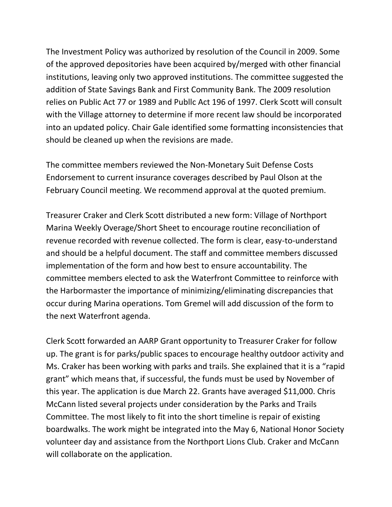The Investment Policy was authorized by resolution of the Council in 2009. Some of the approved depositories have been acquired by/merged with other financial institutions, leaving only two approved institutions. The committee suggested the addition of State Savings Bank and First Community Bank. The 2009 resolution relies on Public Act 77 or 1989 and Publlc Act 196 of 1997. Clerk Scott will consult with the Village attorney to determine if more recent law should be incorporated into an updated policy. Chair Gale identified some formatting inconsistencies that should be cleaned up when the revisions are made.

The committee members reviewed the Non-Monetary Suit Defense Costs Endorsement to current insurance coverages described by Paul Olson at the February Council meeting. We recommend approval at the quoted premium.

Treasurer Craker and Clerk Scott distributed a new form: Village of Northport Marina Weekly Overage/Short Sheet to encourage routine reconciliation of revenue recorded with revenue collected. The form is clear, easy-to-understand and should be a helpful document. The staff and committee members discussed implementation of the form and how best to ensure accountability. The committee members elected to ask the Waterfront Committee to reinforce with the Harbormaster the importance of minimizing/eliminating discrepancies that occur during Marina operations. Tom Gremel will add discussion of the form to the next Waterfront agenda.

Clerk Scott forwarded an AARP Grant opportunity to Treasurer Craker for follow up. The grant is for parks/public spaces to encourage healthy outdoor activity and Ms. Craker has been working with parks and trails. She explained that it is a "rapid grant" which means that, if successful, the funds must be used by November of this year. The application is due March 22. Grants have averaged \$11,000. Chris McCann listed several projects under consideration by the Parks and Trails Committee. The most likely to fit into the short timeline is repair of existing boardwalks. The work might be integrated into the May 6, National Honor Society volunteer day and assistance from the Northport Lions Club. Craker and McCann will collaborate on the application.